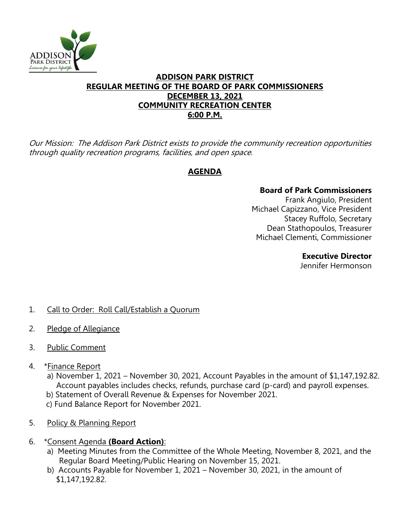

## **ADDISON PARK DISTRICT REGULAR MEETING OF THE BOARD OF PARK COMMISSIONERS DECEMBER 13, 2021 COMMUNITY RECREATION CENTER 6:00 P.M.**

Our Mission: The Addison Park District exists to provide the community recreation opportunities through quality recreation programs, facilities, and open space.

# **AGENDA**

## **Board of Park Commissioners**

Frank Angiulo, President Michael Capizzano, Vice President Stacey Ruffolo, Secretary Dean Stathopoulos, Treasurer Michael Clementi, Commissioner

#### **Executive Director**

Jennifer Hermonson

- 1. Call to Order: Roll Call/Establish a Quorum
- 2. Pledge of Allegiance
- 3. Public Comment
- 4. \* Finance Report
	- a) November 1, 2021 November 30, 2021, Account Payables in the amount of \$1,147,192.82. Account payables includes checks, refunds, purchase card (p-card) and payroll expenses.
	- b) Statement of Overall Revenue & Expenses for November 2021.
	- c) Fund Balance Report for November 2021.
- 5. Policy & Planning Report
- 6. \*Consent Agenda **(Board Action)**:
	- a) Meeting Minutes from the Committee of the Whole Meeting, November 8, 2021, and the Regular Board Meeting/Public Hearing on November 15, 2021.
	- b) Accounts Payable for November 1, 2021 November 30, 2021, in the amount of \$1,147,192.82.